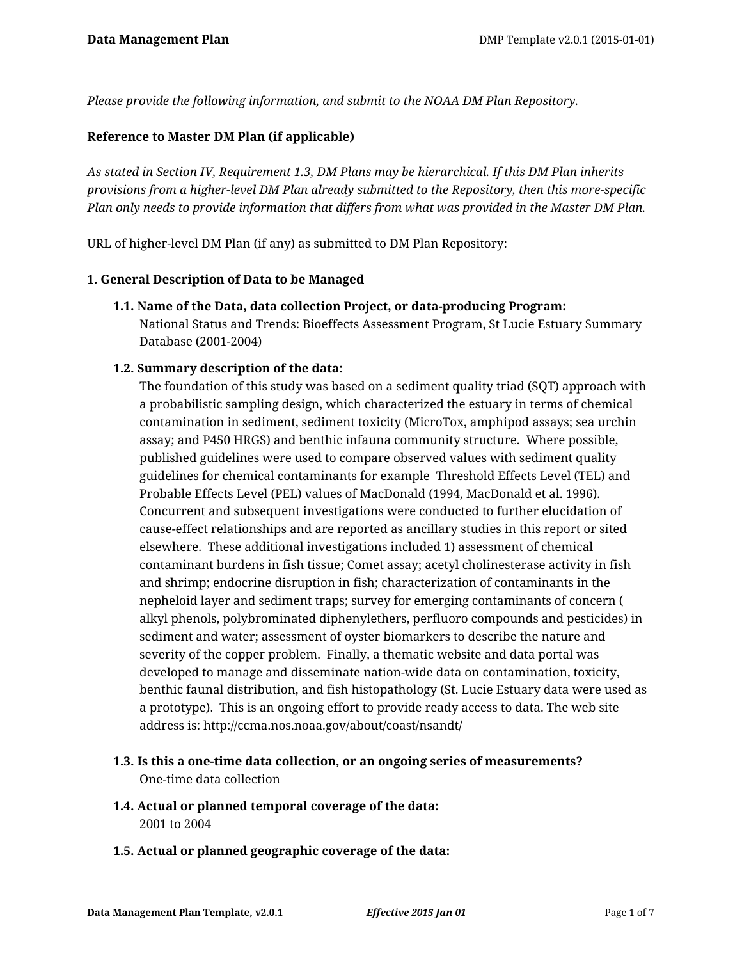*Please provide the following information, and submit to the NOAA DM Plan Repository.*

## **Reference to Master DM Plan (if applicable)**

*As stated in Section IV, Requirement 1.3, DM Plans may be hierarchical. If this DM Plan inherits provisions from a higher-level DM Plan already submitted to the Repository, then this more-specific Plan only needs to provide information that differs from what was provided in the Master DM Plan.*

URL of higher-level DM Plan (if any) as submitted to DM Plan Repository:

### **1. General Description of Data to be Managed**

**1.1. Name of the Data, data collection Project, or data-producing Program:** National Status and Trends: Bioeffects Assessment Program, St Lucie Estuary Summary Database (2001-2004)

## **1.2. Summary description of the data:**

The foundation of this study was based on a sediment quality triad (SQT) approach with a probabilistic sampling design, which characterized the estuary in terms of chemical contamination in sediment, sediment toxicity (MicroTox, amphipod assays; sea urchin assay; and P450 HRGS) and benthic infauna community structure. Where possible, published guidelines were used to compare observed values with sediment quality guidelines for chemical contaminants for example Threshold Effects Level (TEL) and Probable Effects Level (PEL) values of MacDonald (1994, MacDonald et al. 1996). Concurrent and subsequent investigations were conducted to further elucidation of cause-effect relationships and are reported as ancillary studies in this report or sited elsewhere. These additional investigations included 1) assessment of chemical contaminant burdens in fish tissue; Comet assay; acetyl cholinesterase activity in fish and shrimp; endocrine disruption in fish; characterization of contaminants in the nepheloid layer and sediment traps; survey for emerging contaminants of concern ( alkyl phenols, polybrominated diphenylethers, perfluoro compounds and pesticides) in sediment and water; assessment of oyster biomarkers to describe the nature and severity of the copper problem. Finally, a thematic website and data portal was developed to manage and disseminate nation-wide data on contamination, toxicity, benthic faunal distribution, and fish histopathology (St. Lucie Estuary data were used as a prototype). This is an ongoing effort to provide ready access to data. The web site address is: http://ccma.nos.noaa.gov/about/coast/nsandt/

- **1.3. Is this a one-time data collection, or an ongoing series of measurements?** One-time data collection
- **1.4. Actual or planned temporal coverage of the data:** 2001 to 2004
- **1.5. Actual or planned geographic coverage of the data:**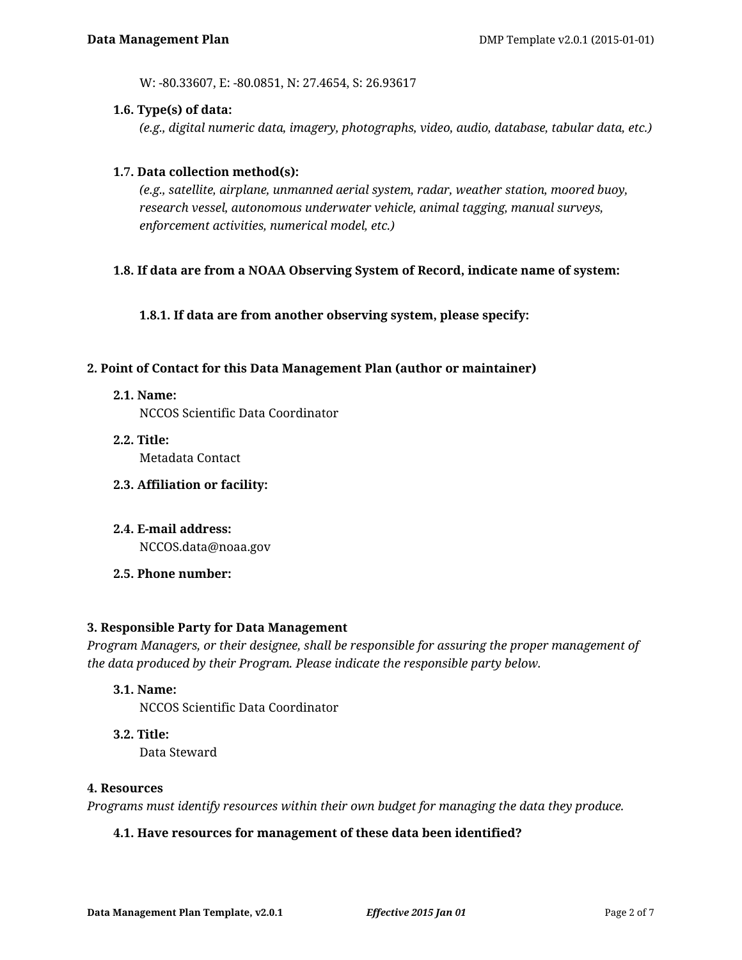W: -80.33607, E: -80.0851, N: 27.4654, S: 26.93617

### **1.6. Type(s) of data:**

*(e.g., digital numeric data, imagery, photographs, video, audio, database, tabular data, etc.)*

### **1.7. Data collection method(s):**

*(e.g., satellite, airplane, unmanned aerial system, radar, weather station, moored buoy, research vessel, autonomous underwater vehicle, animal tagging, manual surveys, enforcement activities, numerical model, etc.)*

### **1.8. If data are from a NOAA Observing System of Record, indicate name of system:**

**1.8.1. If data are from another observing system, please specify:**

### **2. Point of Contact for this Data Management Plan (author or maintainer)**

- **2.1. Name:** NCCOS Scientific Data Coordinator
- **2.2. Title:** Metadata Contact
- **2.3. Affiliation or facility:**
- **2.4. E-mail address:** NCCOS.data@noaa.gov
- **2.5. Phone number:**

### **3. Responsible Party for Data Management**

*Program Managers, or their designee, shall be responsible for assuring the proper management of the data produced by their Program. Please indicate the responsible party below.*

**3.1. Name:**

NCCOS Scientific Data Coordinator

**3.2. Title:**

Data Steward

### **4. Resources**

*Programs must identify resources within their own budget for managing the data they produce.*

### **4.1. Have resources for management of these data been identified?**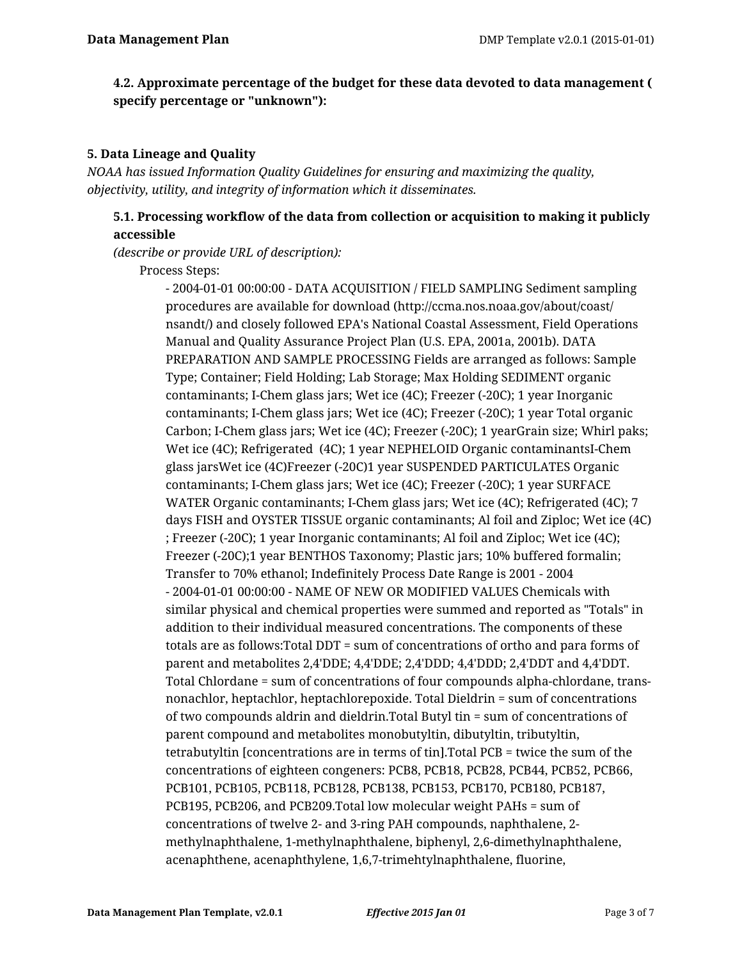# **4.2. Approximate percentage of the budget for these data devoted to data management ( specify percentage or "unknown"):**

## **5. Data Lineage and Quality**

*NOAA has issued Information Quality Guidelines for ensuring and maximizing the quality, objectivity, utility, and integrity of information which it disseminates.*

# **5.1. Processing workflow of the data from collection or acquisition to making it publicly accessible**

*(describe or provide URL of description):*

Process Steps:

- 2004-01-01 00:00:00 - DATA ACQUISITION / FIELD SAMPLING Sediment sampling procedures are available for download (http://ccma.nos.noaa.gov/about/coast/ nsandt/) and closely followed EPA's National Coastal Assessment, Field Operations Manual and Quality Assurance Project Plan (U.S. EPA, 2001a, 2001b). DATA PREPARATION AND SAMPLE PROCESSING Fields are arranged as follows: Sample Type; Container; Field Holding; Lab Storage; Max Holding SEDIMENT organic contaminants; I-Chem glass jars; Wet ice (4C); Freezer (-20C); 1 year Inorganic contaminants; I-Chem glass jars; Wet ice (4C); Freezer (-20C); 1 year Total organic Carbon; I-Chem glass jars; Wet ice (4C); Freezer (-20C); 1 yearGrain size; Whirl paks; Wet ice (4C); Refrigerated (4C); 1 year NEPHELOID Organic contaminantsI-Chem glass jarsWet ice (4C)Freezer (-20C)1 year SUSPENDED PARTICULATES Organic contaminants; I-Chem glass jars; Wet ice (4C); Freezer (-20C); 1 year SURFACE WATER Organic contaminants; I-Chem glass jars; Wet ice (4C); Refrigerated (4C); 7 days FISH and OYSTER TISSUE organic contaminants; Al foil and Ziploc; Wet ice (4C) ; Freezer (-20C); 1 year Inorganic contaminants; Al foil and Ziploc; Wet ice (4C); Freezer (-20C);1 year BENTHOS Taxonomy; Plastic jars; 10% buffered formalin; Transfer to 70% ethanol; Indefinitely Process Date Range is 2001 - 2004 - 2004-01-01 00:00:00 - NAME OF NEW OR MODIFIED VALUES Chemicals with similar physical and chemical properties were summed and reported as "Totals" in addition to their individual measured concentrations. The components of these totals are as follows:Total DDT = sum of concentrations of ortho and para forms of parent and metabolites 2,4'DDE; 4,4'DDE; 2,4'DDD; 4,4'DDD; 2,4'DDT and 4,4'DDT. Total Chlordane = sum of concentrations of four compounds alpha-chlordane, transnonachlor, heptachlor, heptachlorepoxide. Total Dieldrin = sum of concentrations of two compounds aldrin and dieldrin.Total Butyl tin = sum of concentrations of parent compound and metabolites monobutyltin, dibutyltin, tributyltin, tetrabutyltin [concentrations are in terms of tin].Total PCB = twice the sum of the concentrations of eighteen congeners: PCB8, PCB18, PCB28, PCB44, PCB52, PCB66, PCB101, PCB105, PCB118, PCB128, PCB138, PCB153, PCB170, PCB180, PCB187, PCB195, PCB206, and PCB209.Total low molecular weight PAHs = sum of concentrations of twelve 2- and 3-ring PAH compounds, naphthalene, 2 methylnaphthalene, 1-methylnaphthalene, biphenyl, 2,6-dimethylnaphthalene, acenaphthene, acenaphthylene, 1,6,7-trimehtylnaphthalene, fluorine,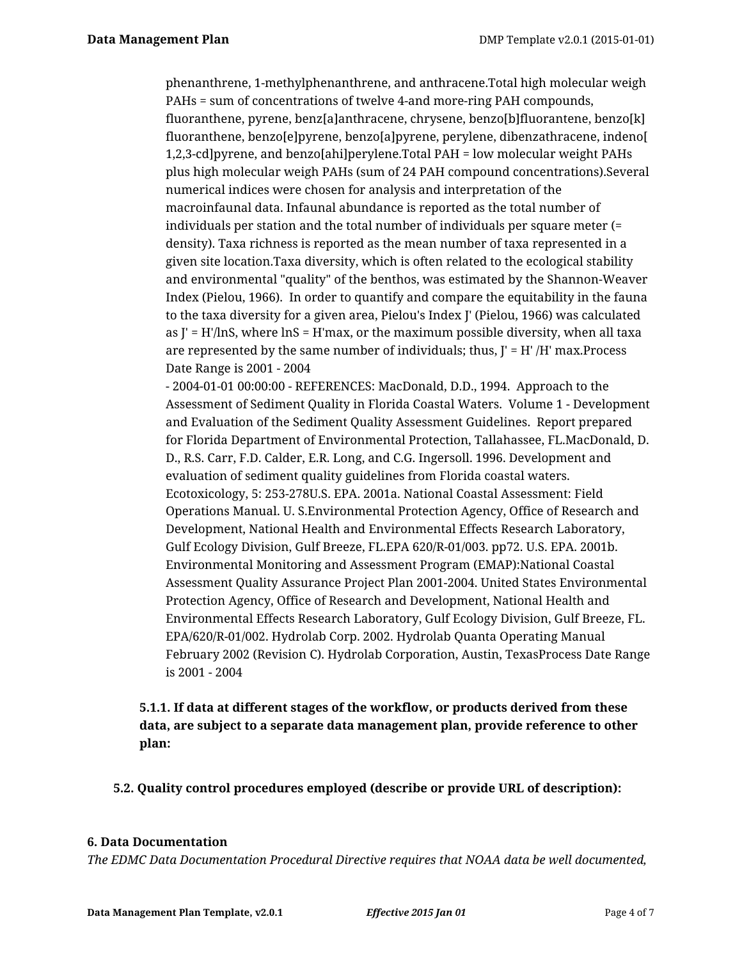phenanthrene, 1-methylphenanthrene, and anthracene.Total high molecular weigh PAHs = sum of concentrations of twelve 4-and more-ring PAH compounds, fluoranthene, pyrene, benz[a]anthracene, chrysene, benzo[b]fluorantene, benzo[k] fluoranthene, benzo[e]pyrene, benzo[a]pyrene, perylene, dibenzathracene, indeno[ 1,2,3-cd]pyrene, and benzo[ahi]perylene.Total PAH = low molecular weight PAHs plus high molecular weigh PAHs (sum of 24 PAH compound concentrations).Several numerical indices were chosen for analysis and interpretation of the macroinfaunal data. Infaunal abundance is reported as the total number of individuals per station and the total number of individuals per square meter (= density). Taxa richness is reported as the mean number of taxa represented in a given site location.Taxa diversity, which is often related to the ecological stability and environmental "quality" of the benthos, was estimated by the Shannon-Weaver Index (Pielou, 1966). In order to quantify and compare the equitability in the fauna to the taxa diversity for a given area, Pielou's Index J' (Pielou, 1966) was calculated as  $J' = H'/\ln S$ , where  $\ln S = H'\max$ , or the maximum possible diversity, when all taxa are represented by the same number of individuals; thus,  $\mathbf{I}' = \mathbf{H}' / \mathbf{H}'$  max. Process Date Range is 2001 - 2004

- 2004-01-01 00:00:00 - REFERENCES: MacDonald, D.D., 1994. Approach to the Assessment of Sediment Quality in Florida Coastal Waters. Volume 1 - Development and Evaluation of the Sediment Quality Assessment Guidelines. Report prepared for Florida Department of Environmental Protection, Tallahassee, FL.MacDonald, D. D., R.S. Carr, F.D. Calder, E.R. Long, and C.G. Ingersoll. 1996. Development and evaluation of sediment quality guidelines from Florida coastal waters. Ecotoxicology, 5: 253-278U.S. EPA. 2001a. National Coastal Assessment: Field Operations Manual. U. S.Environmental Protection Agency, Office of Research and Development, National Health and Environmental Effects Research Laboratory, Gulf Ecology Division, Gulf Breeze, FL.EPA 620/R-01/003. pp72. U.S. EPA. 2001b. Environmental Monitoring and Assessment Program (EMAP):National Coastal Assessment Quality Assurance Project Plan 2001-2004. United States Environmental Protection Agency, Office of Research and Development, National Health and Environmental Effects Research Laboratory, Gulf Ecology Division, Gulf Breeze, FL. EPA/620/R-01/002. Hydrolab Corp. 2002. Hydrolab Quanta Operating Manual February 2002 (Revision C). Hydrolab Corporation, Austin, TexasProcess Date Range is 2001 - 2004

# **5.1.1. If data at different stages of the workflow, or products derived from these data, are subject to a separate data management plan, provide reference to other plan:**

**5.2. Quality control procedures employed (describe or provide URL of description):**

### **6. Data Documentation**

*The EDMC Data Documentation Procedural Directive requires that NOAA data be well documented,*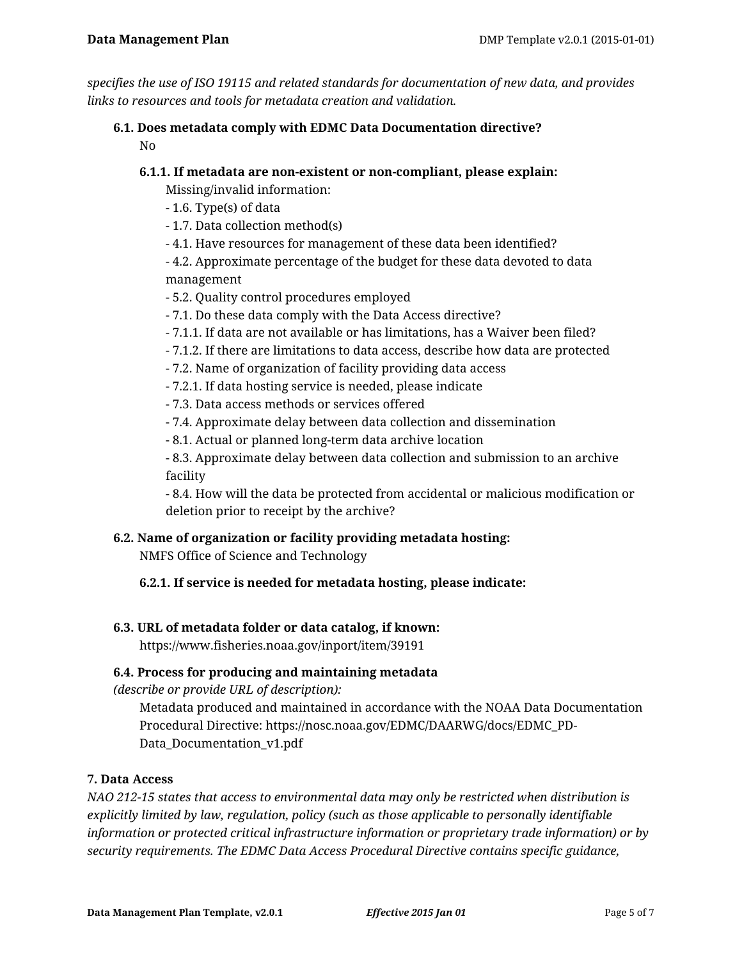*specifies the use of ISO 19115 and related standards for documentation of new data, and provides links to resources and tools for metadata creation and validation.*

## **6.1. Does metadata comply with EDMC Data Documentation directive?** No

# **6.1.1. If metadata are non-existent or non-compliant, please explain:**

Missing/invalid information:

- 1.6. Type(s) of data
- 1.7. Data collection method(s)
- 4.1. Have resources for management of these data been identified?
- 4.2. Approximate percentage of the budget for these data devoted to data management
- 5.2. Quality control procedures employed
- 7.1. Do these data comply with the Data Access directive?
- 7.1.1. If data are not available or has limitations, has a Waiver been filed?
- 7.1.2. If there are limitations to data access, describe how data are protected
- 7.2. Name of organization of facility providing data access
- 7.2.1. If data hosting service is needed, please indicate
- 7.3. Data access methods or services offered
- 7.4. Approximate delay between data collection and dissemination
- 8.1. Actual or planned long-term data archive location

- 8.3. Approximate delay between data collection and submission to an archive facility

- 8.4. How will the data be protected from accidental or malicious modification or deletion prior to receipt by the archive?

## **6.2. Name of organization or facility providing metadata hosting:**

NMFS Office of Science and Technology

# **6.2.1. If service is needed for metadata hosting, please indicate:**

## **6.3. URL of metadata folder or data catalog, if known:**

https://www.fisheries.noaa.gov/inport/item/39191

## **6.4. Process for producing and maintaining metadata**

*(describe or provide URL of description):*

Metadata produced and maintained in accordance with the NOAA Data Documentation Procedural Directive: https://nosc.noaa.gov/EDMC/DAARWG/docs/EDMC\_PD-Data\_Documentation\_v1.pdf

# **7. Data Access**

*NAO 212-15 states that access to environmental data may only be restricted when distribution is explicitly limited by law, regulation, policy (such as those applicable to personally identifiable information or protected critical infrastructure information or proprietary trade information) or by security requirements. The EDMC Data Access Procedural Directive contains specific guidance,*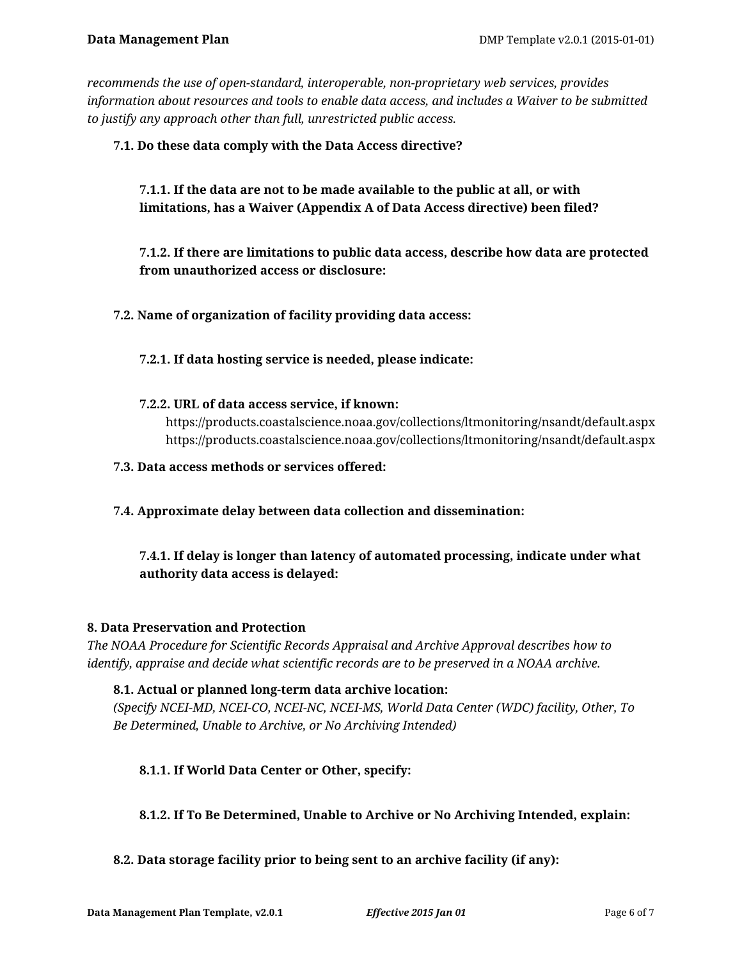*recommends the use of open-standard, interoperable, non-proprietary web services, provides information about resources and tools to enable data access, and includes a Waiver to be submitted to justify any approach other than full, unrestricted public access.*

## **7.1. Do these data comply with the Data Access directive?**

**7.1.1. If the data are not to be made available to the public at all, or with limitations, has a Waiver (Appendix A of Data Access directive) been filed?**

**7.1.2. If there are limitations to public data access, describe how data are protected from unauthorized access or disclosure:**

**7.2. Name of organization of facility providing data access:**

### **7.2.1. If data hosting service is needed, please indicate:**

**7.2.2. URL of data access service, if known:**

https://products.coastalscience.noaa.gov/collections/ltmonitoring/nsandt/default.aspx https://products.coastalscience.noaa.gov/collections/ltmonitoring/nsandt/default.aspx

- **7.3. Data access methods or services offered:**
- **7.4. Approximate delay between data collection and dissemination:**

# **7.4.1. If delay is longer than latency of automated processing, indicate under what authority data access is delayed:**

### **8. Data Preservation and Protection**

*The NOAA Procedure for Scientific Records Appraisal and Archive Approval describes how to identify, appraise and decide what scientific records are to be preserved in a NOAA archive.*

## **8.1. Actual or planned long-term data archive location:**

*(Specify NCEI-MD, NCEI-CO, NCEI-NC, NCEI-MS, World Data Center (WDC) facility, Other, To Be Determined, Unable to Archive, or No Archiving Intended)*

## **8.1.1. If World Data Center or Other, specify:**

### **8.1.2. If To Be Determined, Unable to Archive or No Archiving Intended, explain:**

### **8.2. Data storage facility prior to being sent to an archive facility (if any):**